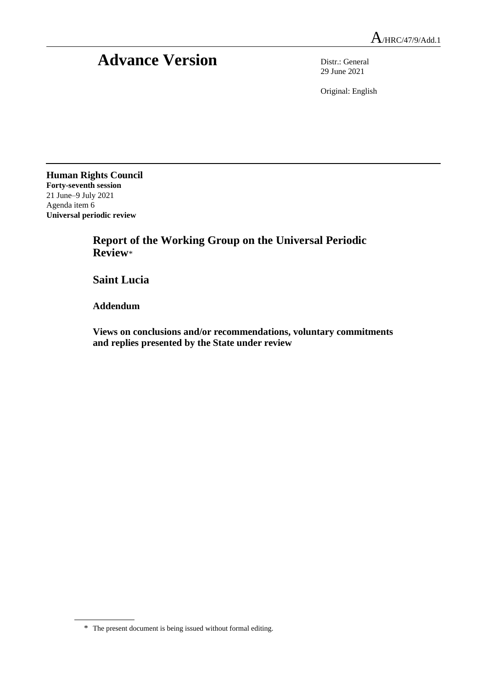## Advance Version Distr.: General

29 June 2021

Original: English

**Human Rights Council Forty-seventh session** 21 June–9 July 2021 Agenda item 6 **Universal periodic review**

> **Report of the Working Group on the Universal Periodic Review**\*

**Saint Lucia**

**Addendum**

**Views on conclusions and/or recommendations, voluntary commitments and replies presented by the State under review**

<sup>\*</sup> The present document is being issued without formal editing.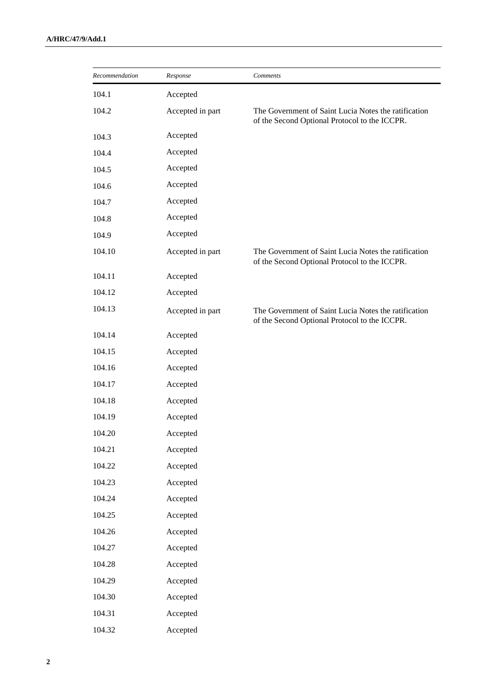| Recommendation | Response         | Comments                                                                                              |
|----------------|------------------|-------------------------------------------------------------------------------------------------------|
| 104.1          | Accepted         |                                                                                                       |
| 104.2          | Accepted in part | The Government of Saint Lucia Notes the ratification<br>of the Second Optional Protocol to the ICCPR. |
| 104.3          | Accepted         |                                                                                                       |
| 104.4          | Accepted         |                                                                                                       |
| 104.5          | Accepted         |                                                                                                       |
| 104.6          | Accepted         |                                                                                                       |
| 104.7          | Accepted         |                                                                                                       |
| 104.8          | Accepted         |                                                                                                       |
| 104.9          | Accepted         |                                                                                                       |
| 104.10         | Accepted in part | The Government of Saint Lucia Notes the ratification<br>of the Second Optional Protocol to the ICCPR. |
| 104.11         | Accepted         |                                                                                                       |
| 104.12         | Accepted         |                                                                                                       |
| 104.13         | Accepted in part | The Government of Saint Lucia Notes the ratification<br>of the Second Optional Protocol to the ICCPR. |
| 104.14         | Accepted         |                                                                                                       |
| 104.15         | Accepted         |                                                                                                       |
| 104.16         | Accepted         |                                                                                                       |
| 104.17         | Accepted         |                                                                                                       |
| 104.18         | Accepted         |                                                                                                       |
| 104.19         | Accepted         |                                                                                                       |
| 104.20         | Accepted         |                                                                                                       |
| 104.21         | Accepted         |                                                                                                       |
| 104.22         | Accepted         |                                                                                                       |
| 104.23         | Accepted         |                                                                                                       |
| 104.24         | Accepted         |                                                                                                       |
| 104.25         | Accepted         |                                                                                                       |
| 104.26         | Accepted         |                                                                                                       |
| 104.27         | Accepted         |                                                                                                       |
| 104.28         | Accepted         |                                                                                                       |
| 104.29         | Accepted         |                                                                                                       |
| 104.30         | Accepted         |                                                                                                       |
| 104.31         | Accepted         |                                                                                                       |
| 104.32         | Accepted         |                                                                                                       |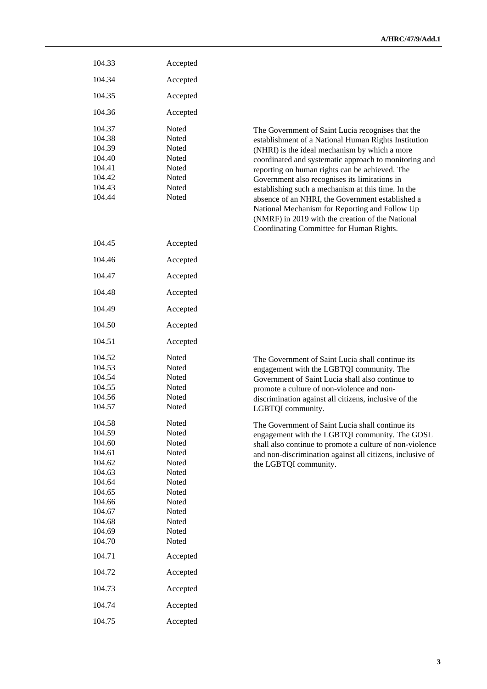| 104.33                                                                                                                                                                 | Accepted                                                                                                                                                          |                                                                                                                                                                                                                                                                                                                                                                                                                                                                                                                                                                                    |
|------------------------------------------------------------------------------------------------------------------------------------------------------------------------|-------------------------------------------------------------------------------------------------------------------------------------------------------------------|------------------------------------------------------------------------------------------------------------------------------------------------------------------------------------------------------------------------------------------------------------------------------------------------------------------------------------------------------------------------------------------------------------------------------------------------------------------------------------------------------------------------------------------------------------------------------------|
| 104.34                                                                                                                                                                 | Accepted                                                                                                                                                          |                                                                                                                                                                                                                                                                                                                                                                                                                                                                                                                                                                                    |
| 104.35                                                                                                                                                                 | Accepted                                                                                                                                                          |                                                                                                                                                                                                                                                                                                                                                                                                                                                                                                                                                                                    |
| 104.36                                                                                                                                                                 | Accepted                                                                                                                                                          |                                                                                                                                                                                                                                                                                                                                                                                                                                                                                                                                                                                    |
| 104.37<br>104.38<br>104.39<br>104.40<br>104.41<br>104.42<br>104.43<br>104.44                                                                                           | Noted<br><b>Noted</b><br>Noted<br>Noted<br>Noted<br>Noted<br>Noted<br>Noted                                                                                       | The Government of Saint Lucia recognises that the<br>establishment of a National Human Rights Institution<br>(NHRI) is the ideal mechanism by which a more<br>coordinated and systematic approach to monitoring and<br>reporting on human rights can be achieved. The<br>Government also recognises its limitations in<br>establishing such a mechanism at this time. In the<br>absence of an NHRI, the Government established a<br>National Mechanism for Reporting and Follow Up<br>(NMRF) in 2019 with the creation of the National<br>Coordinating Committee for Human Rights. |
| 104.45                                                                                                                                                                 | Accepted                                                                                                                                                          |                                                                                                                                                                                                                                                                                                                                                                                                                                                                                                                                                                                    |
| 104.46                                                                                                                                                                 | Accepted                                                                                                                                                          |                                                                                                                                                                                                                                                                                                                                                                                                                                                                                                                                                                                    |
| 104.47                                                                                                                                                                 | Accepted                                                                                                                                                          |                                                                                                                                                                                                                                                                                                                                                                                                                                                                                                                                                                                    |
| 104.48                                                                                                                                                                 | Accepted                                                                                                                                                          |                                                                                                                                                                                                                                                                                                                                                                                                                                                                                                                                                                                    |
| 104.49                                                                                                                                                                 | Accepted                                                                                                                                                          |                                                                                                                                                                                                                                                                                                                                                                                                                                                                                                                                                                                    |
| 104.50                                                                                                                                                                 | Accepted                                                                                                                                                          |                                                                                                                                                                                                                                                                                                                                                                                                                                                                                                                                                                                    |
| 104.51                                                                                                                                                                 | Accepted                                                                                                                                                          |                                                                                                                                                                                                                                                                                                                                                                                                                                                                                                                                                                                    |
| 104.52<br>104.53<br>104.54<br>104.55<br>104.56<br>104.57                                                                                                               | Noted<br>Noted<br>Noted<br>Noted<br>Noted<br>Noted                                                                                                                | The Government of Saint Lucia shall continue its<br>engagement with the LGBTQI community. The<br>Government of Saint Lucia shall also continue to<br>promote a culture of non-violence and non-<br>discrimination against all citizens, inclusive of the<br>LGBTQI community.                                                                                                                                                                                                                                                                                                      |
| 104.58<br>104.59<br>104.60<br>104.61<br>104.62<br>104.63<br>104.64<br>104.65<br>104.66<br>104.67<br>104.68<br>104.69<br>104.70<br>104.71<br>104.72<br>104.73<br>104.74 | Noted<br>Noted<br>Noted<br>Noted<br>Noted<br>Noted<br>Noted<br>Noted<br>Noted<br>Noted<br>Noted<br>Noted<br>Noted<br>Accepted<br>Accepted<br>Accepted<br>Accepted | The Government of Saint Lucia shall continue its<br>engagement with the LGBTQI community. The GOSL<br>shall also continue to promote a culture of non-violence<br>and non-discrimination against all citizens, inclusive of<br>the LGBTQI community.                                                                                                                                                                                                                                                                                                                               |
| 104.75                                                                                                                                                                 | Accepted                                                                                                                                                          |                                                                                                                                                                                                                                                                                                                                                                                                                                                                                                                                                                                    |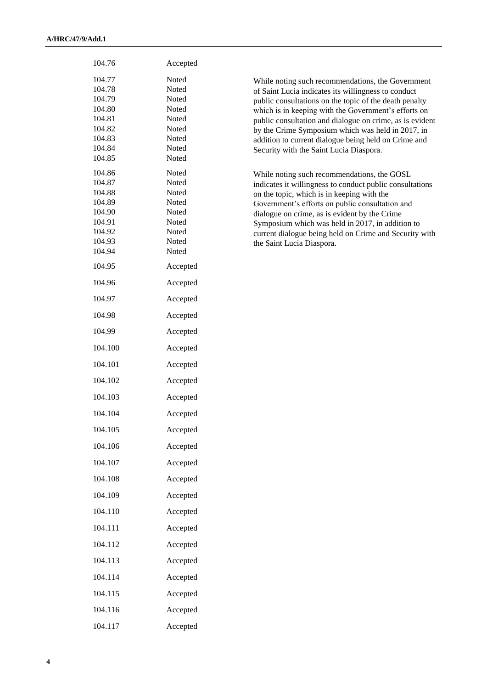| 104.76                                                                                 | Accepted                                                                      |                                                                                                                                                                                                                                                                                                                                                                                                                                                |
|----------------------------------------------------------------------------------------|-------------------------------------------------------------------------------|------------------------------------------------------------------------------------------------------------------------------------------------------------------------------------------------------------------------------------------------------------------------------------------------------------------------------------------------------------------------------------------------------------------------------------------------|
| 104.77<br>104.78<br>104.79<br>104.80<br>104.81<br>104.82<br>104.83<br>104.84<br>104.85 | Noted<br>Noted<br>Noted<br>Noted<br>Noted<br>Noted<br>Noted<br>Noted<br>Noted | While noting such recommendations, the Government<br>of Saint Lucia indicates its willingness to conduct<br>public consultations on the topic of the death penalty<br>which is in keeping with the Government's efforts on<br>public consultation and dialogue on crime, as is evident<br>by the Crime Symposium which was held in 2017, in<br>addition to current dialogue being held on Crime and<br>Security with the Saint Lucia Diaspora. |
| 104.86<br>104.87<br>104.88<br>104.89<br>104.90<br>104.91<br>104.92<br>104.93<br>104.94 | Noted<br>Noted<br>Noted<br>Noted<br>Noted<br>Noted<br>Noted<br>Noted<br>Noted | While noting such recommendations, the GOSL<br>indicates it willingness to conduct public consultations<br>on the topic, which is in keeping with the<br>Government's efforts on public consultation and<br>dialogue on crime, as is evident by the Crime<br>Symposium which was held in 2017, in addition to<br>current dialogue being held on Crime and Security with<br>the Saint Lucia Diaspora.                                           |
| 104.95                                                                                 | Accepted                                                                      |                                                                                                                                                                                                                                                                                                                                                                                                                                                |
| 104.96                                                                                 | Accepted                                                                      |                                                                                                                                                                                                                                                                                                                                                                                                                                                |
| 104.97                                                                                 | Accepted                                                                      |                                                                                                                                                                                                                                                                                                                                                                                                                                                |
| 104.98                                                                                 | Accepted                                                                      |                                                                                                                                                                                                                                                                                                                                                                                                                                                |
| 104.99                                                                                 | Accepted                                                                      |                                                                                                                                                                                                                                                                                                                                                                                                                                                |
| 104.100                                                                                | Accepted                                                                      |                                                                                                                                                                                                                                                                                                                                                                                                                                                |
| 104.101                                                                                | Accepted                                                                      |                                                                                                                                                                                                                                                                                                                                                                                                                                                |
| 104.102                                                                                | Accepted                                                                      |                                                                                                                                                                                                                                                                                                                                                                                                                                                |
| 104.103                                                                                | Accepted                                                                      |                                                                                                                                                                                                                                                                                                                                                                                                                                                |
| 104.104                                                                                | Accepted                                                                      |                                                                                                                                                                                                                                                                                                                                                                                                                                                |
| 104.105                                                                                | Accepted                                                                      |                                                                                                                                                                                                                                                                                                                                                                                                                                                |
| 104.106                                                                                | Accepted                                                                      |                                                                                                                                                                                                                                                                                                                                                                                                                                                |
| 104.107                                                                                | Accepted                                                                      |                                                                                                                                                                                                                                                                                                                                                                                                                                                |
| 104.108                                                                                | Accepted                                                                      |                                                                                                                                                                                                                                                                                                                                                                                                                                                |
| 104.109                                                                                | Accepted                                                                      |                                                                                                                                                                                                                                                                                                                                                                                                                                                |
| 104.110                                                                                | Accepted                                                                      |                                                                                                                                                                                                                                                                                                                                                                                                                                                |
| 104.111                                                                                | Accepted                                                                      |                                                                                                                                                                                                                                                                                                                                                                                                                                                |
| 104.112                                                                                | Accepted                                                                      |                                                                                                                                                                                                                                                                                                                                                                                                                                                |
| 104.113                                                                                | Accepted                                                                      |                                                                                                                                                                                                                                                                                                                                                                                                                                                |
| 104.114                                                                                | Accepted                                                                      |                                                                                                                                                                                                                                                                                                                                                                                                                                                |
| 104.115                                                                                | Accepted                                                                      |                                                                                                                                                                                                                                                                                                                                                                                                                                                |
| 104.116                                                                                | Accepted                                                                      |                                                                                                                                                                                                                                                                                                                                                                                                                                                |
| 104.117                                                                                | Accepted                                                                      |                                                                                                                                                                                                                                                                                                                                                                                                                                                |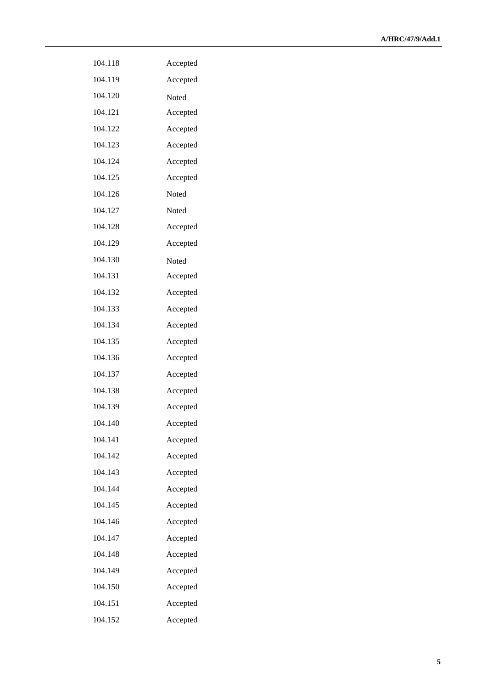| 104.118 | Accepted |
|---------|----------|
| 104.119 | Accepted |
| 104.120 | Noted    |
| 104.121 | Accepted |
| 104.122 | Accepted |
| 104.123 | Accepted |
| 104.124 | Accepted |
| 104.125 | Accepted |
| 104.126 | Noted    |
| 104.127 | Noted    |
| 104.128 | Accepted |
| 104.129 | Accepted |
| 104.130 | Noted    |
| 104.131 | Accepted |
| 104.132 | Accepted |
| 104.133 | Accepted |
| 104.134 | Accepted |
| 104.135 | Accepted |
| 104.136 | Accepted |
| 104.137 | Accepted |
| 104.138 | Accepted |
| 104.139 | Accepted |
| 104.140 | Accepted |
| 104.141 | Accepted |
| 104.142 | Accepted |
| 104.143 | Accepted |
| 104.144 | Accepted |
| 104.145 | Accepted |
| 104.146 | Accepted |
| 104.147 | Accepted |
| 104.148 | Accepted |
| 104.149 | Accepted |
| 104.150 | Accepted |
| 104.151 | Accepted |
| 104.152 | Accepted |